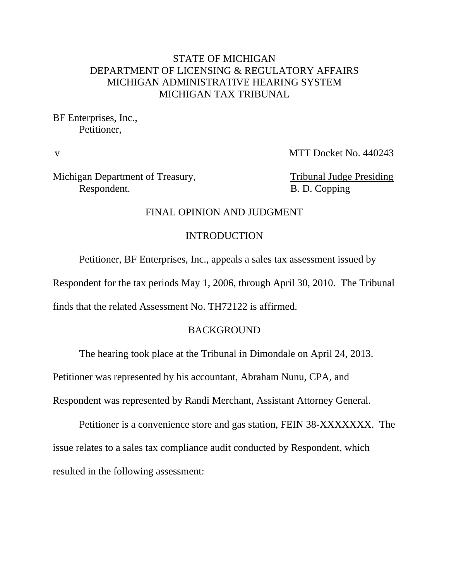### STATE OF MICHIGAN DEPARTMENT OF LICENSING & REGULATORY AFFAIRS MICHIGAN ADMINISTRATIVE HEARING SYSTEM MICHIGAN TAX TRIBUNAL

BF Enterprises, Inc., Petitioner,

v MTT Docket No. 440243

Michigan Department of Treasury, Tribunal Judge Presiding Respondent. B. D. Copping

#### FINAL OPINION AND JUDGMENT

#### INTRODUCTION

Petitioner, BF Enterprises, Inc., appeals a sales tax assessment issued by

Respondent for the tax periods May 1, 2006, through April 30, 2010. The Tribunal

finds that the related Assessment No. TH72122 is affirmed.

#### BACKGROUND

The hearing took place at the Tribunal in Dimondale on April 24, 2013.

Petitioner was represented by his accountant, Abraham Nunu, CPA, and

Respondent was represented by Randi Merchant, Assistant Attorney General.

Petitioner is a convenience store and gas station, FEIN 38-XXXXXXX. The issue relates to a sales tax compliance audit conducted by Respondent, which resulted in the following assessment: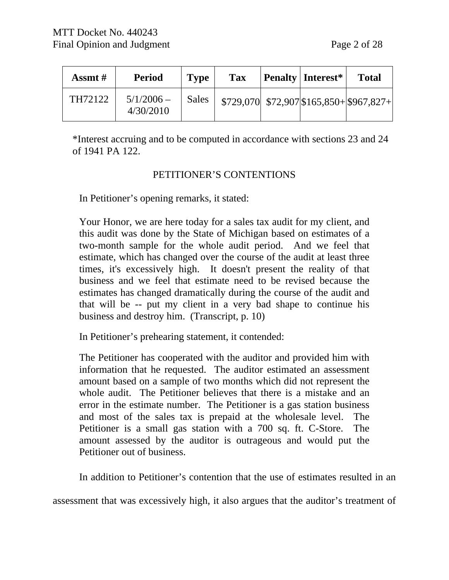| Assmt # | <b>Period</b>             | <b>Type</b> | <b>Tax</b> | <b>Penalty Interest*</b> | <b>Total</b>                                 |
|---------|---------------------------|-------------|------------|--------------------------|----------------------------------------------|
| TH72122 | $5/1/2006$ –<br>4/30/2010 | Sales       |            |                          | $$729,070$ $$72,907$ $$165,850 + $967,827 +$ |

\*Interest accruing and to be computed in accordance with sections 23 and 24 of 1941 PA 122.

### PETITIONER'S CONTENTIONS

In Petitioner's opening remarks, it stated:

Your Honor, we are here today for a sales tax audit for my client, and this audit was done by the State of Michigan based on estimates of a two-month sample for the whole audit period. And we feel that estimate, which has changed over the course of the audit at least three times, it's excessively high. It doesn't present the reality of that business and we feel that estimate need to be revised because the estimates has changed dramatically during the course of the audit and that will be -- put my client in a very bad shape to continue his business and destroy him. (Transcript, p. 10)

In Petitioner's prehearing statement, it contended:

The Petitioner has cooperated with the auditor and provided him with information that he requested. The auditor estimated an assessment amount based on a sample of two months which did not represent the whole audit. The Petitioner believes that there is a mistake and an error in the estimate number. The Petitioner is a gas station business and most of the sales tax is prepaid at the wholesale level. The Petitioner is a small gas station with a 700 sq. ft. C-Store. The amount assessed by the auditor is outrageous and would put the Petitioner out of business.

In addition to Petitioner's contention that the use of estimates resulted in an

assessment that was excessively high, it also argues that the auditor's treatment of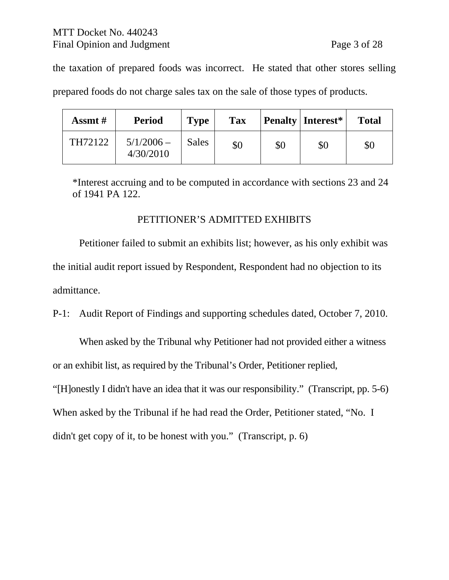the taxation of prepared foods was incorrect. He stated that other stores selling prepared foods do not charge sales tax on the sale of those types of products.

| Assmt $#$ | <b>Period</b>             | <b>Type</b>  | <b>Tax</b> |     | <b>Penalty Interest*</b> | <b>Total</b> |
|-----------|---------------------------|--------------|------------|-----|--------------------------|--------------|
| TH72122   | $5/1/2006 -$<br>4/30/2010 | <b>Sales</b> | \$0        | \$0 | \$0                      | \$0          |

\*Interest accruing and to be computed in accordance with sections 23 and 24 of 1941 PA 122.

## PETITIONER'S ADMITTED EXHIBITS

Petitioner failed to submit an exhibits list; however, as his only exhibit was the initial audit report issued by Respondent, Respondent had no objection to its admittance.

P-1: Audit Report of Findings and supporting schedules dated, October 7, 2010.

When asked by the Tribunal why Petitioner had not provided either a witness or an exhibit list, as required by the Tribunal's Order, Petitioner replied,

"[H]onestly I didn't have an idea that it was our responsibility." (Transcript, pp. 5-6)

When asked by the Tribunal if he had read the Order, Petitioner stated, "No. I

didn't get copy of it, to be honest with you." (Transcript, p. 6)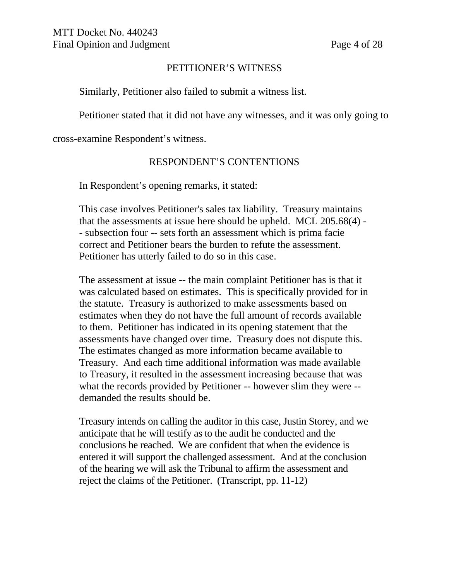### PETITIONER'S WITNESS

Similarly, Petitioner also failed to submit a witness list.

Petitioner stated that it did not have any witnesses, and it was only going to

cross-examine Respondent's witness.

### RESPONDENT'S CONTENTIONS

In Respondent's opening remarks, it stated:

This case involves Petitioner's sales tax liability. Treasury maintains that the assessments at issue here should be upheld. MCL 205.68(4) - - subsection four -- sets forth an assessment which is prima facie correct and Petitioner bears the burden to refute the assessment. Petitioner has utterly failed to do so in this case.

The assessment at issue -- the main complaint Petitioner has is that it was calculated based on estimates. This is specifically provided for in the statute. Treasury is authorized to make assessments based on estimates when they do not have the full amount of records available to them. Petitioner has indicated in its opening statement that the assessments have changed over time. Treasury does not dispute this. The estimates changed as more information became available to Treasury. And each time additional information was made available to Treasury, it resulted in the assessment increasing because that was what the records provided by Petitioner -- however slim they were - demanded the results should be.

Treasury intends on calling the auditor in this case, Justin Storey, and we anticipate that he will testify as to the audit he conducted and the conclusions he reached. We are confident that when the evidence is entered it will support the challenged assessment. And at the conclusion of the hearing we will ask the Tribunal to affirm the assessment and reject the claims of the Petitioner. (Transcript, pp. 11-12)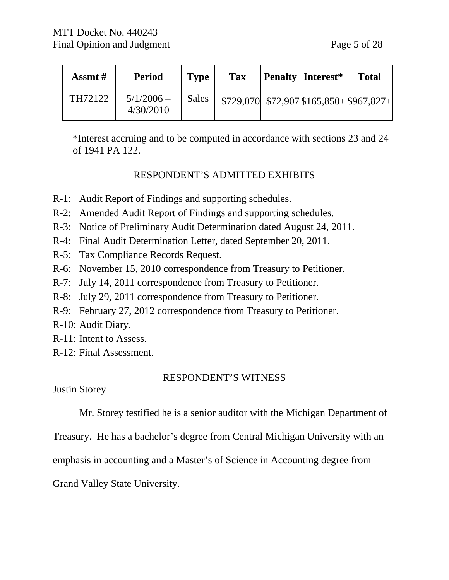| Assmt # | <b>Period</b>             | <b>Type</b> | <b>Tax</b> | <b>Penalty Interest*</b> | <b>Total</b>                                 |
|---------|---------------------------|-------------|------------|--------------------------|----------------------------------------------|
| TH72122 | $5/1/2006 -$<br>4/30/2010 | Sales       |            |                          | $$729,070$ $$72,907$ $$165,850 + $967,827 +$ |

\*Interest accruing and to be computed in accordance with sections 23 and 24 of 1941 PA 122.

## RESPONDENT'S ADMITTED EXHIBITS

- R-1: Audit Report of Findings and supporting schedules.
- R-2: Amended Audit Report of Findings and supporting schedules.
- R-3: Notice of Preliminary Audit Determination dated August 24, 2011.
- R-4: Final Audit Determination Letter, dated September 20, 2011.
- R-5: Tax Compliance Records Request.
- R-6: November 15, 2010 correspondence from Treasury to Petitioner.
- R-7: July 14, 2011 correspondence from Treasury to Petitioner.
- R-8: July 29, 2011 correspondence from Treasury to Petitioner.
- R-9: February 27, 2012 correspondence from Treasury to Petitioner.
- R-10: Audit Diary.
- R-11: Intent to Assess.
- R-12: Final Assessment.

# RESPONDENT'S WITNESS

## Justin Storey

Mr. Storey testified he is a senior auditor with the Michigan Department of

Treasury. He has a bachelor's degree from Central Michigan University with an

emphasis in accounting and a Master's of Science in Accounting degree from

Grand Valley State University.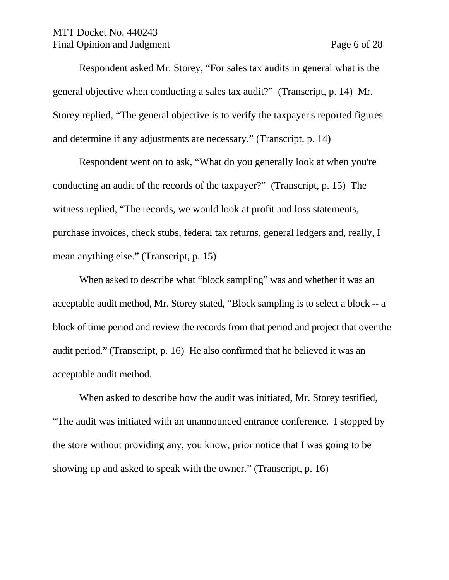### MTT Docket No. 440243 Final Opinion and Judgment Page 6 of 28

Respondent asked Mr. Storey, "For sales tax audits in general what is the general objective when conducting a sales tax audit?" (Transcript, p. 14) Mr. Storey replied, "The general objective is to verify the taxpayer's reported figures and determine if any adjustments are necessary." (Transcript, p. 14)

Respondent went on to ask, "What do you generally look at when you're conducting an audit of the records of the taxpayer?" (Transcript, p. 15) The witness replied, "The records, we would look at profit and loss statements, purchase invoices, check stubs, federal tax returns, general ledgers and, really, I mean anything else." (Transcript, p. 15)

When asked to describe what "block sampling" was and whether it was an acceptable audit method, Mr. Storey stated, "Block sampling is to select a block -- a block of time period and review the records from that period and project that over the audit period." (Transcript, p. 16) He also confirmed that he believed it was an acceptable audit method.

When asked to describe how the audit was initiated, Mr. Storey testified, "The audit was initiated with an unannounced entrance conference. I stopped by the store without providing any, you know, prior notice that I was going to be showing up and asked to speak with the owner." (Transcript, p. 16)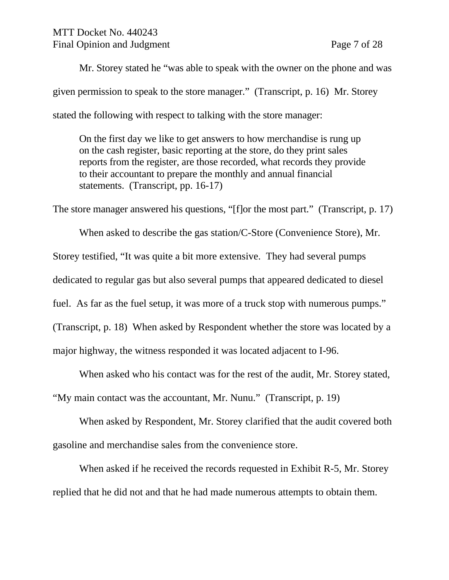Mr. Storey stated he "was able to speak with the owner on the phone and was given permission to speak to the store manager." (Transcript, p. 16) Mr. Storey stated the following with respect to talking with the store manager:

On the first day we like to get answers to how merchandise is rung up on the cash register, basic reporting at the store, do they print sales reports from the register, are those recorded, what records they provide to their accountant to prepare the monthly and annual financial statements. (Transcript, pp. 16-17)

The store manager answered his questions, "[f]or the most part." (Transcript, p. 17)

When asked to describe the gas station/C-Store (Convenience Store), Mr. Storey testified, "It was quite a bit more extensive. They had several pumps dedicated to regular gas but also several pumps that appeared dedicated to diesel fuel. As far as the fuel setup, it was more of a truck stop with numerous pumps." (Transcript, p. 18) When asked by Respondent whether the store was located by a major highway, the witness responded it was located adjacent to I-96.

When asked who his contact was for the rest of the audit, Mr. Storey stated, "My main contact was the accountant, Mr. Nunu." (Transcript, p. 19)

When asked by Respondent, Mr. Storey clarified that the audit covered both gasoline and merchandise sales from the convenience store.

When asked if he received the records requested in Exhibit R-5, Mr. Storey replied that he did not and that he had made numerous attempts to obtain them.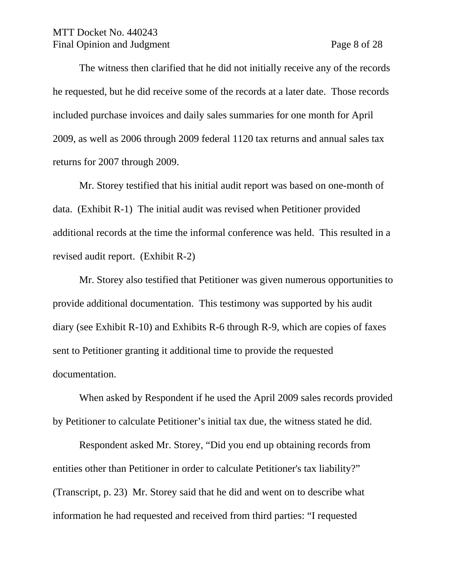### MTT Docket No. 440243 Final Opinion and Judgment Page 8 of 28

The witness then clarified that he did not initially receive any of the records he requested, but he did receive some of the records at a later date. Those records included purchase invoices and daily sales summaries for one month for April 2009, as well as 2006 through 2009 federal 1120 tax returns and annual sales tax returns for 2007 through 2009.

Mr. Storey testified that his initial audit report was based on one-month of data. (Exhibit R-1) The initial audit was revised when Petitioner provided additional records at the time the informal conference was held. This resulted in a revised audit report. (Exhibit R-2)

Mr. Storey also testified that Petitioner was given numerous opportunities to provide additional documentation. This testimony was supported by his audit diary (see Exhibit R-10) and Exhibits R-6 through R-9, which are copies of faxes sent to Petitioner granting it additional time to provide the requested documentation.

When asked by Respondent if he used the April 2009 sales records provided by Petitioner to calculate Petitioner's initial tax due, the witness stated he did.

Respondent asked Mr. Storey, "Did you end up obtaining records from entities other than Petitioner in order to calculate Petitioner's tax liability?" (Transcript, p. 23) Mr. Storey said that he did and went on to describe what information he had requested and received from third parties: "I requested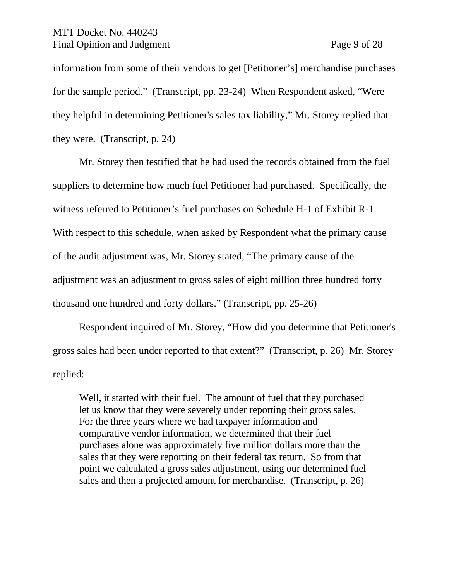#### MTT Docket No. 440243 Final Opinion and Judgment Page 9 of 28

information from some of their vendors to get [Petitioner's] merchandise purchases for the sample period." (Transcript, pp. 23-24) When Respondent asked, "Were they helpful in determining Petitioner's sales tax liability," Mr. Storey replied that they were. (Transcript, p. 24)

Mr. Storey then testified that he had used the records obtained from the fuel suppliers to determine how much fuel Petitioner had purchased. Specifically, the witness referred to Petitioner's fuel purchases on Schedule H-1 of Exhibit R-1. With respect to this schedule, when asked by Respondent what the primary cause of the audit adjustment was, Mr. Storey stated, "The primary cause of the adjustment was an adjustment to gross sales of eight million three hundred forty thousand one hundred and forty dollars." (Transcript, pp. 25-26)

Respondent inquired of Mr. Storey, "How did you determine that Petitioner's gross sales had been under reported to that extent?" (Transcript, p. 26) Mr. Storey replied:

Well, it started with their fuel. The amount of fuel that they purchased let us know that they were severely under reporting their gross sales. For the three years where we had taxpayer information and comparative vendor information, we determined that their fuel purchases alone was approximately five million dollars more than the sales that they were reporting on their federal tax return. So from that point we calculated a gross sales adjustment, using our determined fuel sales and then a projected amount for merchandise. (Transcript, p. 26)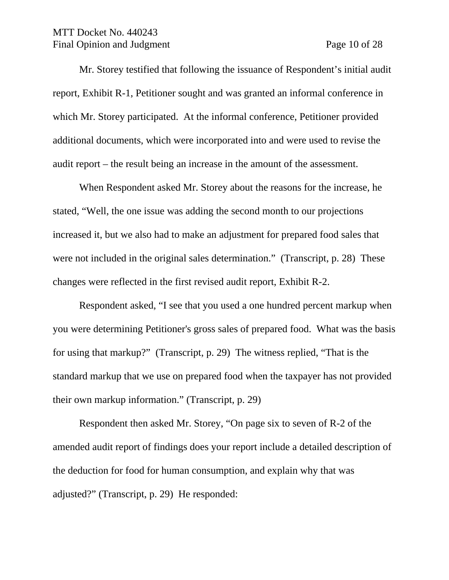#### MTT Docket No. 440243 Final Opinion and Judgment Page 10 of 28

Mr. Storey testified that following the issuance of Respondent's initial audit report, Exhibit R-1, Petitioner sought and was granted an informal conference in which Mr. Storey participated. At the informal conference, Petitioner provided additional documents, which were incorporated into and were used to revise the audit report – the result being an increase in the amount of the assessment.

When Respondent asked Mr. Storey about the reasons for the increase, he stated, "Well, the one issue was adding the second month to our projections increased it, but we also had to make an adjustment for prepared food sales that were not included in the original sales determination." (Transcript, p. 28) These changes were reflected in the first revised audit report, Exhibit R-2.

Respondent asked, "I see that you used a one hundred percent markup when you were determining Petitioner's gross sales of prepared food. What was the basis for using that markup?" (Transcript, p. 29) The witness replied, "That is the standard markup that we use on prepared food when the taxpayer has not provided their own markup information." (Transcript, p. 29)

Respondent then asked Mr. Storey, "On page six to seven of R-2 of the amended audit report of findings does your report include a detailed description of the deduction for food for human consumption, and explain why that was adjusted?" (Transcript, p. 29) He responded: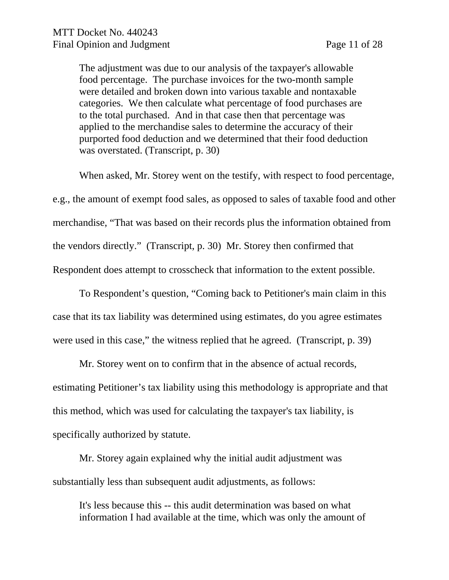The adjustment was due to our analysis of the taxpayer's allowable food percentage. The purchase invoices for the two-month sample were detailed and broken down into various taxable and nontaxable categories. We then calculate what percentage of food purchases are to the total purchased. And in that case then that percentage was applied to the merchandise sales to determine the accuracy of their purported food deduction and we determined that their food deduction was overstated. (Transcript, p. 30)

When asked, Mr. Storey went on the testify, with respect to food percentage, e.g., the amount of exempt food sales, as opposed to sales of taxable food and other merchandise, "That was based on their records plus the information obtained from the vendors directly." (Transcript, p. 30) Mr. Storey then confirmed that Respondent does attempt to crosscheck that information to the extent possible.

To Respondent's question, "Coming back to Petitioner's main claim in this case that its tax liability was determined using estimates, do you agree estimates were used in this case," the witness replied that he agreed. (Transcript, p. 39)

Mr. Storey went on to confirm that in the absence of actual records, estimating Petitioner's tax liability using this methodology is appropriate and that this method, which was used for calculating the taxpayer's tax liability, is specifically authorized by statute.

Mr. Storey again explained why the initial audit adjustment was substantially less than subsequent audit adjustments, as follows:

It's less because this -- this audit determination was based on what information I had available at the time, which was only the amount of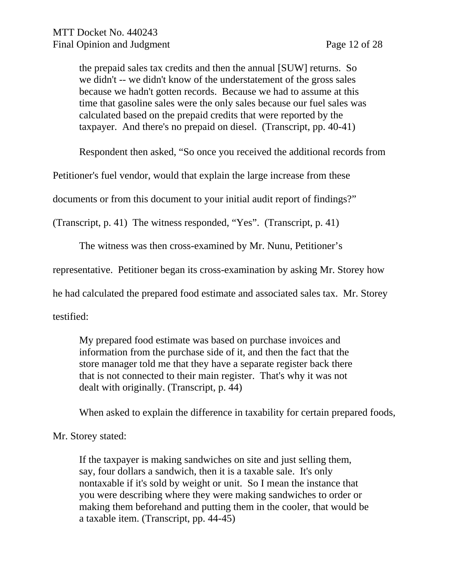the prepaid sales tax credits and then the annual [SUW] returns. So we didn't -- we didn't know of the understatement of the gross sales because we hadn't gotten records. Because we had to assume at this time that gasoline sales were the only sales because our fuel sales was calculated based on the prepaid credits that were reported by the taxpayer. And there's no prepaid on diesel. (Transcript, pp. 40-41)

Respondent then asked, "So once you received the additional records from

Petitioner's fuel vendor, would that explain the large increase from these

documents or from this document to your initial audit report of findings?"

(Transcript, p. 41) The witness responded, "Yes". (Transcript, p. 41)

The witness was then cross-examined by Mr. Nunu, Petitioner's

representative. Petitioner began its cross-examination by asking Mr. Storey how

he had calculated the prepared food estimate and associated sales tax. Mr. Storey

testified:

My prepared food estimate was based on purchase invoices and information from the purchase side of it, and then the fact that the store manager told me that they have a separate register back there that is not connected to their main register. That's why it was not dealt with originally. (Transcript, p. 44)

When asked to explain the difference in taxability for certain prepared foods,

## Mr. Storey stated:

If the taxpayer is making sandwiches on site and just selling them, say, four dollars a sandwich, then it is a taxable sale. It's only nontaxable if it's sold by weight or unit. So I mean the instance that you were describing where they were making sandwiches to order or making them beforehand and putting them in the cooler, that would be a taxable item. (Transcript, pp. 44-45)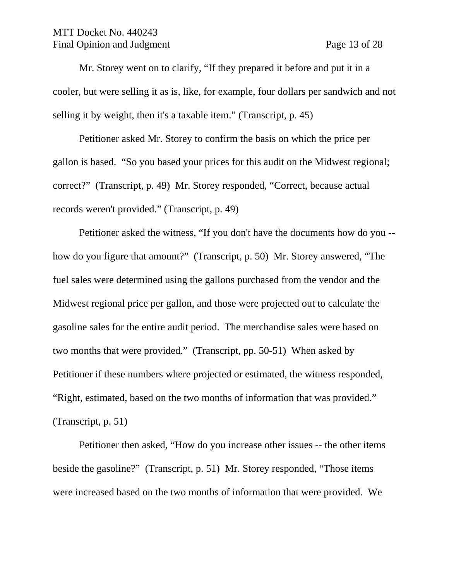#### MTT Docket No. 440243 Final Opinion and Judgment Page 13 of 28

Mr. Storey went on to clarify, "If they prepared it before and put it in a cooler, but were selling it as is, like, for example, four dollars per sandwich and not selling it by weight, then it's a taxable item." (Transcript, p. 45)

Petitioner asked Mr. Storey to confirm the basis on which the price per gallon is based. "So you based your prices for this audit on the Midwest regional; correct?" (Transcript, p. 49) Mr. Storey responded, "Correct, because actual records weren't provided." (Transcript, p. 49)

Petitioner asked the witness, "If you don't have the documents how do you - how do you figure that amount?" (Transcript, p. 50) Mr. Storey answered, "The fuel sales were determined using the gallons purchased from the vendor and the Midwest regional price per gallon, and those were projected out to calculate the gasoline sales for the entire audit period. The merchandise sales were based on two months that were provided." (Transcript, pp. 50-51) When asked by Petitioner if these numbers where projected or estimated, the witness responded, "Right, estimated, based on the two months of information that was provided." (Transcript, p. 51)

Petitioner then asked, "How do you increase other issues -- the other items beside the gasoline?" (Transcript, p. 51) Mr. Storey responded, "Those items were increased based on the two months of information that were provided. We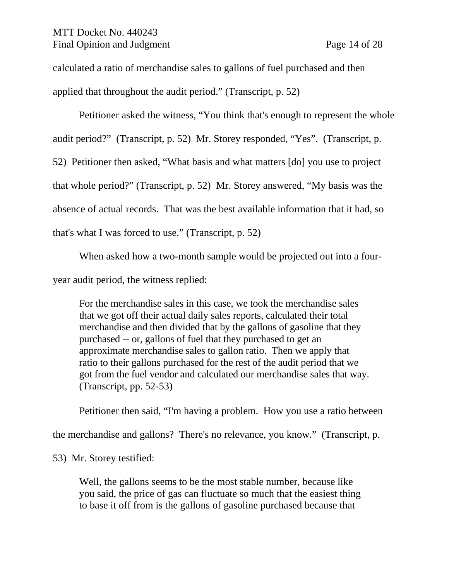### MTT Docket No. 440243 Final Opinion and Judgment Page 14 of 28

calculated a ratio of merchandise sales to gallons of fuel purchased and then applied that throughout the audit period." (Transcript, p. 52)

Petitioner asked the witness, "You think that's enough to represent the whole

audit period?" (Transcript, p. 52) Mr. Storey responded, "Yes". (Transcript, p.

52) Petitioner then asked, "What basis and what matters [do] you use to project

that whole period?" (Transcript, p. 52) Mr. Storey answered, "My basis was the

absence of actual records. That was the best available information that it had, so

that's what I was forced to use." (Transcript, p. 52)

When asked how a two-month sample would be projected out into a four-

year audit period, the witness replied:

For the merchandise sales in this case, we took the merchandise sales that we got off their actual daily sales reports, calculated their total merchandise and then divided that by the gallons of gasoline that they purchased -- or, gallons of fuel that they purchased to get an approximate merchandise sales to gallon ratio. Then we apply that ratio to their gallons purchased for the rest of the audit period that we got from the fuel vendor and calculated our merchandise sales that way. (Transcript, pp. 52-53)

Petitioner then said, "I'm having a problem. How you use a ratio between

the merchandise and gallons? There's no relevance, you know." (Transcript, p.

53) Mr. Storey testified:

Well, the gallons seems to be the most stable number, because like you said, the price of gas can fluctuate so much that the easiest thing to base it off from is the gallons of gasoline purchased because that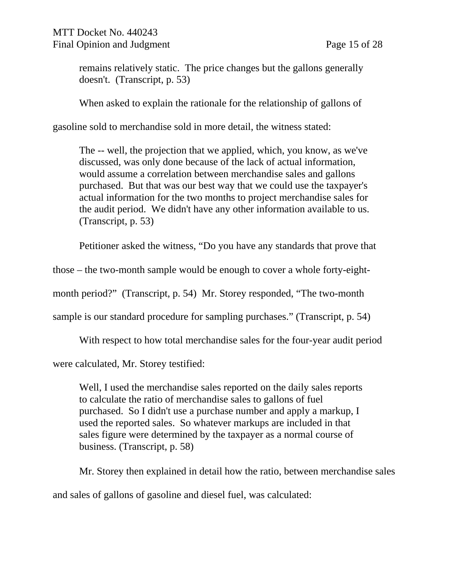remains relatively static. The price changes but the gallons generally doesn't. (Transcript, p. 53)

When asked to explain the rationale for the relationship of gallons of

gasoline sold to merchandise sold in more detail, the witness stated:

The -- well, the projection that we applied, which, you know, as we've discussed, was only done because of the lack of actual information, would assume a correlation between merchandise sales and gallons purchased. But that was our best way that we could use the taxpayer's actual information for the two months to project merchandise sales for the audit period. We didn't have any other information available to us. (Transcript, p. 53)

Petitioner asked the witness, "Do you have any standards that prove that

those – the two-month sample would be enough to cover a whole forty-eight-

month period?" (Transcript, p. 54) Mr. Storey responded, "The two-month

sample is our standard procedure for sampling purchases." (Transcript, p. 54)

With respect to how total merchandise sales for the four-year audit period

were calculated, Mr. Storey testified:

Well, I used the merchandise sales reported on the daily sales reports to calculate the ratio of merchandise sales to gallons of fuel purchased. So I didn't use a purchase number and apply a markup, I used the reported sales. So whatever markups are included in that sales figure were determined by the taxpayer as a normal course of business. (Transcript, p. 58)

Mr. Storey then explained in detail how the ratio, between merchandise sales and sales of gallons of gasoline and diesel fuel, was calculated: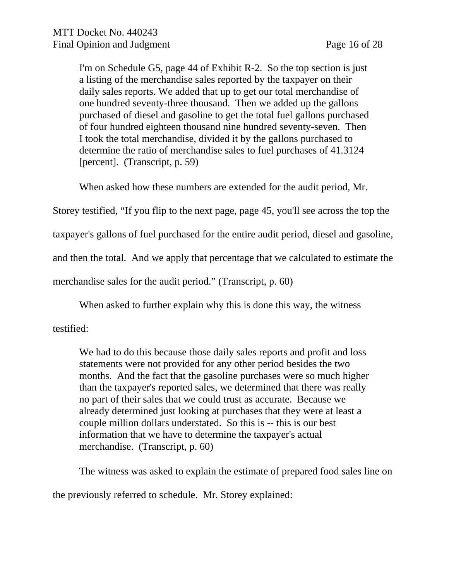I'm on Schedule G5, page 44 of Exhibit R-2. So the top section is just a listing of the merchandise sales reported by the taxpayer on their daily sales reports. We added that up to get our total merchandise of one hundred seventy-three thousand. Then we added up the gallons purchased of diesel and gasoline to get the total fuel gallons purchased of four hundred eighteen thousand nine hundred seventy-seven. Then I took the total merchandise, divided it by the gallons purchased to determine the ratio of merchandise sales to fuel purchases of 41.3124 [percent]. (Transcript, p. 59)

When asked how these numbers are extended for the audit period, Mr.

Storey testified, "If you flip to the next page, page 45, you'll see across the top the

taxpayer's gallons of fuel purchased for the entire audit period, diesel and gasoline,

and then the total. And we apply that percentage that we calculated to estimate the

merchandise sales for the audit period." (Transcript, p. 60)

When asked to further explain why this is done this way, the witness

testified:

We had to do this because those daily sales reports and profit and loss statements were not provided for any other period besides the two months. And the fact that the gasoline purchases were so much higher than the taxpayer's reported sales, we determined that there was really no part of their sales that we could trust as accurate. Because we already determined just looking at purchases that they were at least a couple million dollars understated. So this is -- this is our best information that we have to determine the taxpayer's actual merchandise. (Transcript, p. 60)

The witness was asked to explain the estimate of prepared food sales line on the previously referred to schedule. Mr. Storey explained: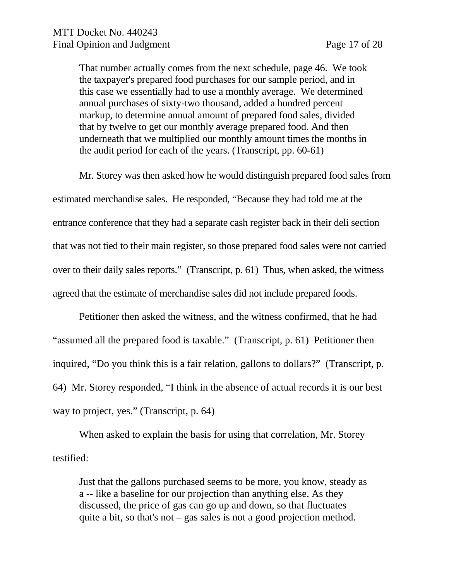That number actually comes from the next schedule, page 46. We took the taxpayer's prepared food purchases for our sample period, and in this case we essentially had to use a monthly average. We determined annual purchases of sixty-two thousand, added a hundred percent markup, to determine annual amount of prepared food sales, divided that by twelve to get our monthly average prepared food. And then underneath that we multiplied our monthly amount times the months in the audit period for each of the years. (Transcript, pp. 60-61)

Mr. Storey was then asked how he would distinguish prepared food sales from estimated merchandise sales. He responded, "Because they had told me at the entrance conference that they had a separate cash register back in their deli section that was not tied to their main register, so those prepared food sales were not carried over to their daily sales reports." (Transcript, p. 61) Thus, when asked, the witness agreed that the estimate of merchandise sales did not include prepared foods.

Petitioner then asked the witness, and the witness confirmed, that he had "assumed all the prepared food is taxable." (Transcript, p. 61) Petitioner then inquired, "Do you think this is a fair relation, gallons to dollars?" (Transcript, p. 64) Mr. Storey responded, "I think in the absence of actual records it is our best way to project, yes." (Transcript, p. 64)

When asked to explain the basis for using that correlation, Mr. Storey testified:

Just that the gallons purchased seems to be more, you know, steady as a -- like a baseline for our projection than anything else. As they discussed, the price of gas can go up and down, so that fluctuates quite a bit, so that's not – gas sales is not a good projection method.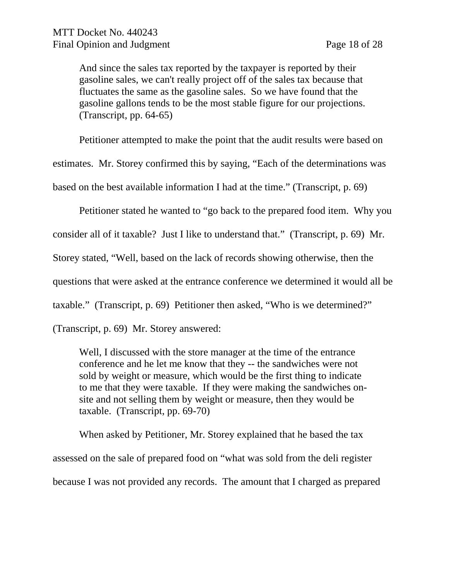And since the sales tax reported by the taxpayer is reported by their gasoline sales, we can't really project off of the sales tax because that fluctuates the same as the gasoline sales. So we have found that the gasoline gallons tends to be the most stable figure for our projections. (Transcript, pp. 64-65)

Petitioner attempted to make the point that the audit results were based on

estimates. Mr. Storey confirmed this by saying, "Each of the determinations was

based on the best available information I had at the time." (Transcript, p. 69)

Petitioner stated he wanted to "go back to the prepared food item. Why you

consider all of it taxable? Just I like to understand that." (Transcript, p. 69) Mr.

Storey stated, "Well, based on the lack of records showing otherwise, then the

questions that were asked at the entrance conference we determined it would all be

taxable." (Transcript, p. 69) Petitioner then asked, "Who is we determined?"

(Transcript, p. 69) Mr. Storey answered:

Well, I discussed with the store manager at the time of the entrance conference and he let me know that they -- the sandwiches were not sold by weight or measure, which would be the first thing to indicate to me that they were taxable. If they were making the sandwiches onsite and not selling them by weight or measure, then they would be taxable. (Transcript, pp. 69-70)

When asked by Petitioner, Mr. Storey explained that he based the tax assessed on the sale of prepared food on "what was sold from the deli register because I was not provided any records. The amount that I charged as prepared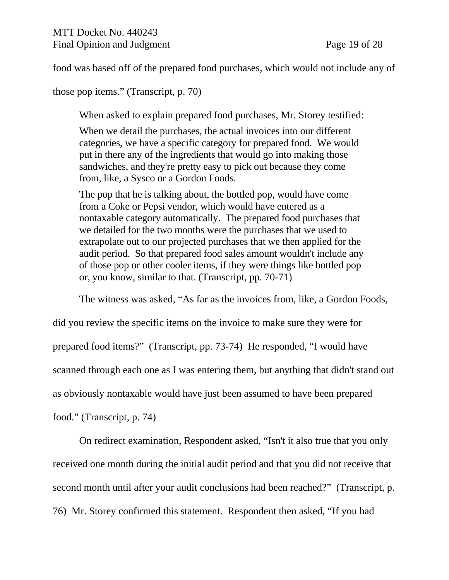food was based off of the prepared food purchases, which would not include any of

those pop items." (Transcript, p. 70)

When asked to explain prepared food purchases, Mr. Storey testified:

When we detail the purchases, the actual invoices into our different categories, we have a specific category for prepared food. We would put in there any of the ingredients that would go into making those sandwiches, and they're pretty easy to pick out because they come from, like, a Sysco or a Gordon Foods.

The pop that he is talking about, the bottled pop, would have come from a Coke or Pepsi vendor, which would have entered as a nontaxable category automatically. The prepared food purchases that we detailed for the two months were the purchases that we used to extrapolate out to our projected purchases that we then applied for the audit period. So that prepared food sales amount wouldn't include any of those pop or other cooler items, if they were things like bottled pop or, you know, similar to that. (Transcript, pp. 70-71)

The witness was asked, "As far as the invoices from, like, a Gordon Foods,

did you review the specific items on the invoice to make sure they were for prepared food items?" (Transcript, pp. 73-74) He responded, "I would have scanned through each one as I was entering them, but anything that didn't stand out as obviously nontaxable would have just been assumed to have been prepared food." (Transcript, p. 74)

On redirect examination, Respondent asked, "Isn't it also true that you only received one month during the initial audit period and that you did not receive that second month until after your audit conclusions had been reached?" (Transcript, p. 76) Mr. Storey confirmed this statement. Respondent then asked, "If you had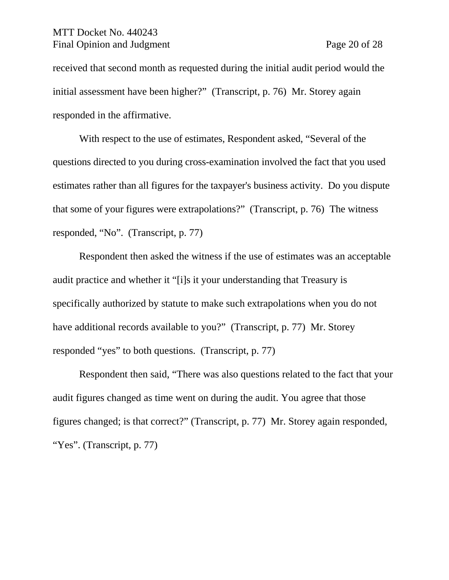#### MTT Docket No. 440243 Final Opinion and Judgment Page 20 of 28

received that second month as requested during the initial audit period would the initial assessment have been higher?" (Transcript, p. 76) Mr. Storey again responded in the affirmative.

With respect to the use of estimates, Respondent asked, "Several of the questions directed to you during cross-examination involved the fact that you used estimates rather than all figures for the taxpayer's business activity. Do you dispute that some of your figures were extrapolations?" (Transcript, p. 76) The witness responded, "No". (Transcript, p. 77)

Respondent then asked the witness if the use of estimates was an acceptable audit practice and whether it "[i]s it your understanding that Treasury is specifically authorized by statute to make such extrapolations when you do not have additional records available to you?" (Transcript, p. 77) Mr. Storey responded "yes" to both questions. (Transcript, p. 77)

Respondent then said, "There was also questions related to the fact that your audit figures changed as time went on during the audit. You agree that those figures changed; is that correct?" (Transcript, p. 77) Mr. Storey again responded, "Yes". (Transcript, p. 77)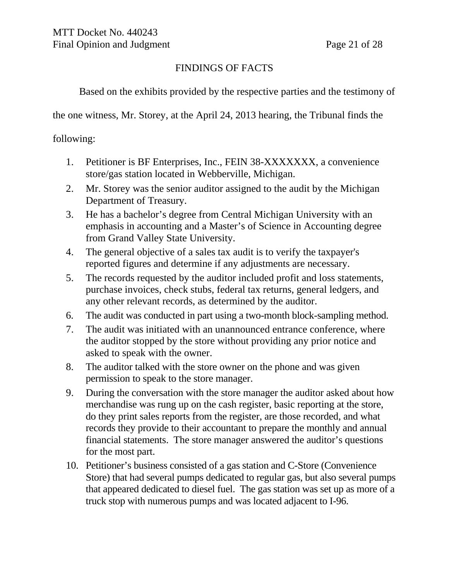## FINDINGS OF FACTS

Based on the exhibits provided by the respective parties and the testimony of

the one witness, Mr. Storey, at the April 24, 2013 hearing, the Tribunal finds the

following:

- 1. Petitioner is BF Enterprises, Inc., FEIN 38-XXXXXXX, a convenience store/gas station located in Webberville, Michigan.
- 2. Mr. Storey was the senior auditor assigned to the audit by the Michigan Department of Treasury.
- 3. He has a bachelor's degree from Central Michigan University with an emphasis in accounting and a Master's of Science in Accounting degree from Grand Valley State University.
- 4. The general objective of a sales tax audit is to verify the taxpayer's reported figures and determine if any adjustments are necessary.
- 5. The records requested by the auditor included profit and loss statements, purchase invoices, check stubs, federal tax returns, general ledgers, and any other relevant records, as determined by the auditor.
- 6. The audit was conducted in part using a two-month block-sampling method.
- 7. The audit was initiated with an unannounced entrance conference, where the auditor stopped by the store without providing any prior notice and asked to speak with the owner.
- 8. The auditor talked with the store owner on the phone and was given permission to speak to the store manager.
- 9. During the conversation with the store manager the auditor asked about how merchandise was rung up on the cash register, basic reporting at the store, do they print sales reports from the register, are those recorded, and what records they provide to their accountant to prepare the monthly and annual financial statements. The store manager answered the auditor's questions for the most part.
- 10. Petitioner's business consisted of a gas station and C-Store (Convenience Store) that had several pumps dedicated to regular gas, but also several pumps that appeared dedicated to diesel fuel. The gas station was set up as more of a truck stop with numerous pumps and was located adjacent to I-96.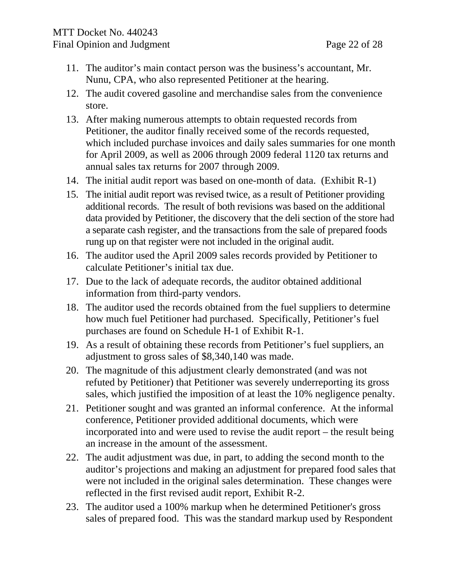- 11. The auditor's main contact person was the business's accountant, Mr. Nunu, CPA, who also represented Petitioner at the hearing.
- 12. The audit covered gasoline and merchandise sales from the convenience store.
- 13. After making numerous attempts to obtain requested records from Petitioner, the auditor finally received some of the records requested, which included purchase invoices and daily sales summaries for one month for April 2009, as well as 2006 through 2009 federal 1120 tax returns and annual sales tax returns for 2007 through 2009.
- 14. The initial audit report was based on one-month of data. (Exhibit R-1)
- 15. The initial audit report was revised twice, as a result of Petitioner providing additional records. The result of both revisions was based on the additional data provided by Petitioner, the discovery that the deli section of the store had a separate cash register, and the transactions from the sale of prepared foods rung up on that register were not included in the original audit.
- 16. The auditor used the April 2009 sales records provided by Petitioner to calculate Petitioner's initial tax due.
- 17. Due to the lack of adequate records, the auditor obtained additional information from third-party vendors.
- 18. The auditor used the records obtained from the fuel suppliers to determine how much fuel Petitioner had purchased. Specifically, Petitioner's fuel purchases are found on Schedule H-1 of Exhibit R-1.
- 19. As a result of obtaining these records from Petitioner's fuel suppliers, an adjustment to gross sales of \$8,340,140 was made.
- 20. The magnitude of this adjustment clearly demonstrated (and was not refuted by Petitioner) that Petitioner was severely underreporting its gross sales, which justified the imposition of at least the 10% negligence penalty.
- 21. Petitioner sought and was granted an informal conference. At the informal conference, Petitioner provided additional documents, which were incorporated into and were used to revise the audit report – the result being an increase in the amount of the assessment.
- 22. The audit adjustment was due, in part, to adding the second month to the auditor's projections and making an adjustment for prepared food sales that were not included in the original sales determination. These changes were reflected in the first revised audit report, Exhibit R-2.
- 23. The auditor used a 100% markup when he determined Petitioner's gross sales of prepared food. This was the standard markup used by Respondent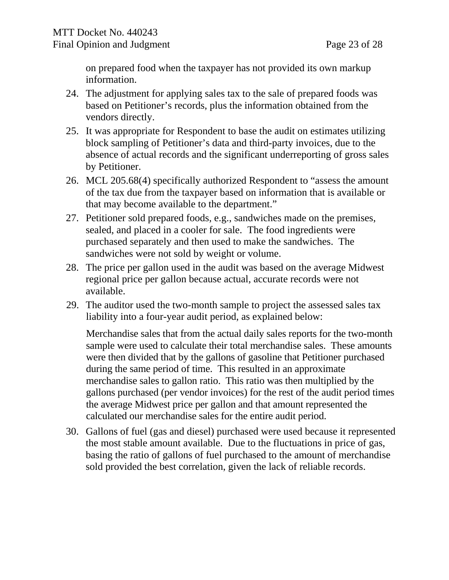on prepared food when the taxpayer has not provided its own markup information.

- 24. The adjustment for applying sales tax to the sale of prepared foods was based on Petitioner's records, plus the information obtained from the vendors directly.
- 25. It was appropriate for Respondent to base the audit on estimates utilizing block sampling of Petitioner's data and third-party invoices, due to the absence of actual records and the significant underreporting of gross sales by Petitioner.
- 26. MCL 205.68(4) specifically authorized Respondent to "assess the amount of the tax due from the taxpayer based on information that is available or that may become available to the department."
- 27. Petitioner sold prepared foods, e.g., sandwiches made on the premises, sealed, and placed in a cooler for sale. The food ingredients were purchased separately and then used to make the sandwiches. The sandwiches were not sold by weight or volume.
- 28. The price per gallon used in the audit was based on the average Midwest regional price per gallon because actual, accurate records were not available.
- 29. The auditor used the two-month sample to project the assessed sales tax liability into a four-year audit period, as explained below:

Merchandise sales that from the actual daily sales reports for the two-month sample were used to calculate their total merchandise sales. These amounts were then divided that by the gallons of gasoline that Petitioner purchased during the same period of time. This resulted in an approximate merchandise sales to gallon ratio. This ratio was then multiplied by the gallons purchased (per vendor invoices) for the rest of the audit period times the average Midwest price per gallon and that amount represented the calculated our merchandise sales for the entire audit period.

30. Gallons of fuel (gas and diesel) purchased were used because it represented the most stable amount available. Due to the fluctuations in price of gas, basing the ratio of gallons of fuel purchased to the amount of merchandise sold provided the best correlation, given the lack of reliable records.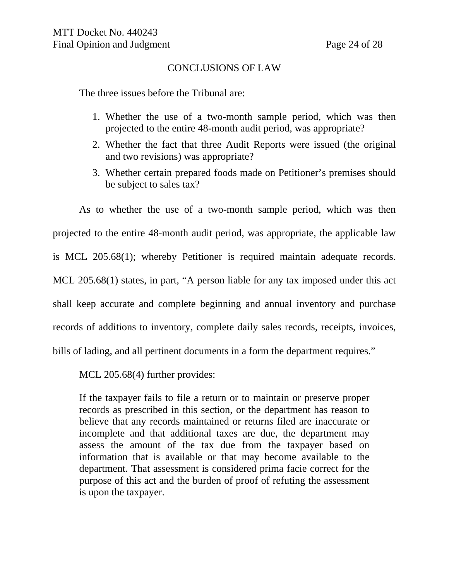### CONCLUSIONS OF LAW

The three issues before the Tribunal are:

- 1. Whether the use of a two-month sample period, which was then projected to the entire 48-month audit period, was appropriate?
- 2. Whether the fact that three Audit Reports were issued (the original and two revisions) was appropriate?
- 3. Whether certain prepared foods made on Petitioner's premises should be subject to sales tax?

As to whether the use of a two-month sample period, which was then projected to the entire 48-month audit period, was appropriate, the applicable law is MCL 205.68(1); whereby Petitioner is required maintain adequate records. MCL 205.68(1) states, in part, "A person liable for any tax imposed under this act shall keep accurate and complete beginning and annual inventory and purchase records of additions to inventory, complete daily sales records, receipts, invoices, bills of lading, and all pertinent documents in a form the department requires."

MCL 205.68(4) further provides:

If the taxpayer fails to file a return or to maintain or preserve proper records as prescribed in this section, or the department has reason to believe that any records maintained or returns filed are inaccurate or incomplete and that additional taxes are due, the department may assess the amount of the tax due from the taxpayer based on information that is available or that may become available to the department. That assessment is considered prima facie correct for the purpose of this act and the burden of proof of refuting the assessment is upon the taxpayer.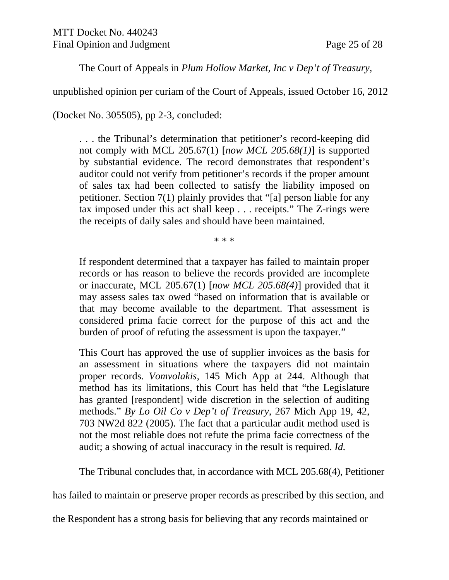The Court of Appeals in *Plum Hollow Market, Inc v Dep't of Treasury*,

unpublished opinion per curiam of the Court of Appeals, issued October 16, 2012

(Docket No. 305505), pp 2-3, concluded:

. . . the Tribunal's determination that petitioner's record-keeping did not comply with MCL 205.67(1) [*now MCL 205.68(1)*] is supported by substantial evidence. The record demonstrates that respondent's auditor could not verify from petitioner's records if the proper amount of sales tax had been collected to satisfy the liability imposed on petitioner. Section 7(1) plainly provides that "[a] person liable for any tax imposed under this act shall keep . . . receipts." The Z-rings were the receipts of daily sales and should have been maintained.

\* \* \*

If respondent determined that a taxpayer has failed to maintain proper records or has reason to believe the records provided are incomplete or inaccurate, MCL 205.67(1) [*now MCL 205.68(4)*] provided that it may assess sales tax owed "based on information that is available or that may become available to the department. That assessment is considered prima facie correct for the purpose of this act and the burden of proof of refuting the assessment is upon the taxpayer."

This Court has approved the use of supplier invoices as the basis for an assessment in situations where the taxpayers did not maintain proper records. *Vomvolakis*, 145 Mich App at 244. Although that method has its limitations, this Court has held that "the Legislature has granted [respondent] wide discretion in the selection of auditing methods." *By Lo Oil Co v Dep't of Treasury*, 267 Mich App 19, 42, 703 NW2d 822 (2005). The fact that a particular audit method used is not the most reliable does not refute the prima facie correctness of the audit; a showing of actual inaccuracy in the result is required. *Id.* 

The Tribunal concludes that, in accordance with MCL 205.68(4), Petitioner

has failed to maintain or preserve proper records as prescribed by this section, and

the Respondent has a strong basis for believing that any records maintained or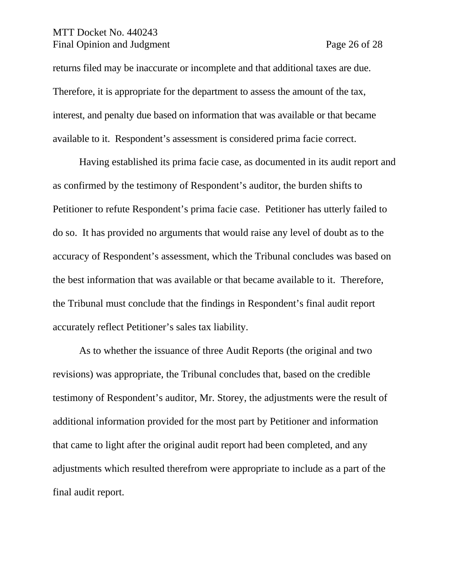#### MTT Docket No. 440243 Final Opinion and Judgment Page 26 of 28

returns filed may be inaccurate or incomplete and that additional taxes are due. Therefore, it is appropriate for the department to assess the amount of the tax, interest, and penalty due based on information that was available or that became available to it. Respondent's assessment is considered prima facie correct.

Having established its prima facie case, as documented in its audit report and as confirmed by the testimony of Respondent's auditor, the burden shifts to Petitioner to refute Respondent's prima facie case. Petitioner has utterly failed to do so. It has provided no arguments that would raise any level of doubt as to the accuracy of Respondent's assessment, which the Tribunal concludes was based on the best information that was available or that became available to it. Therefore, the Tribunal must conclude that the findings in Respondent's final audit report accurately reflect Petitioner's sales tax liability.

As to whether the issuance of three Audit Reports (the original and two revisions) was appropriate, the Tribunal concludes that, based on the credible testimony of Respondent's auditor, Mr. Storey, the adjustments were the result of additional information provided for the most part by Petitioner and information that came to light after the original audit report had been completed, and any adjustments which resulted therefrom were appropriate to include as a part of the final audit report.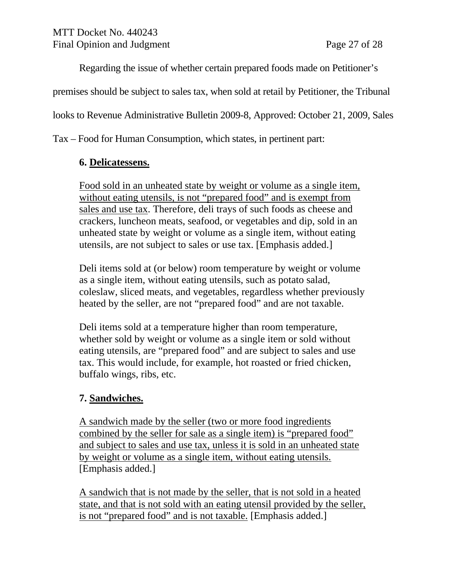Regarding the issue of whether certain prepared foods made on Petitioner's

premises should be subject to sales tax, when sold at retail by Petitioner, the Tribunal

looks to Revenue Administrative Bulletin 2009-8, Approved: October 21, 2009, Sales

Tax – Food for Human Consumption, which states, in pertinent part:

## **6. Delicatessens.**

Food sold in an unheated state by weight or volume as a single item, without eating utensils, is not "prepared food" and is exempt from sales and use tax. Therefore, deli trays of such foods as cheese and crackers, luncheon meats, seafood, or vegetables and dip, sold in an unheated state by weight or volume as a single item, without eating utensils, are not subject to sales or use tax. [Emphasis added.]

Deli items sold at (or below) room temperature by weight or volume as a single item, without eating utensils, such as potato salad, coleslaw, sliced meats, and vegetables, regardless whether previously heated by the seller, are not "prepared food" and are not taxable.

Deli items sold at a temperature higher than room temperature, whether sold by weight or volume as a single item or sold without eating utensils, are "prepared food" and are subject to sales and use tax. This would include, for example, hot roasted or fried chicken, buffalo wings, ribs, etc.

# **7. Sandwiches.**

A sandwich made by the seller (two or more food ingredients combined by the seller for sale as a single item) is "prepared food" and subject to sales and use tax, unless it is sold in an unheated state by weight or volume as a single item, without eating utensils. [Emphasis added.]

A sandwich that is not made by the seller, that is not sold in a heated state, and that is not sold with an eating utensil provided by the seller, is not "prepared food" and is not taxable. [Emphasis added.]